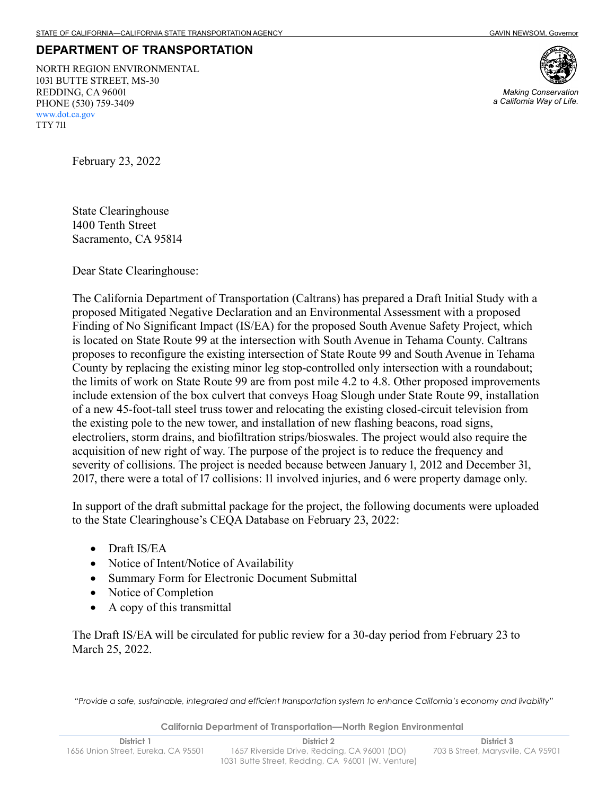## **DEPARTMENT OF TRANSPORTATION**

 1031 BUTTE STREET, MS-30 REDDING, CA 96001 PHONE (530) 759-3409 NORTH REGION ENVIRONMENTAL <www.dot.ca.gov> TTY 711



*Making Conservation a California Way of Life.* 

February 23, 2022

 1400 Tenth Street State Clearinghouse Sacramento, CA 95814

Dear State Clearinghouse:

 The California Department of Transportation (Caltrans) has prepared a Draft Initial Study with a proposed Mitigated Negative Declaration and an Environmental Assessment with a proposed Finding of No Significant Impact (IS/EA) for the proposed South Avenue Safety Project, which is located on State Route 99 at the intersection with South Avenue in Tehama County. Caltrans proposes to reconfigure the existing intersection of State Route 99 and South Avenue in Tehama County by replacing the existing minor leg stop-controlled only intersection with a roundabout; the limits of work on State Route 99 are from post mile 4.2 to 4.8. Other proposed improvements include extension of the box culvert that conveys Hoag Slough under State Route 99, installation of a new 45-foot-tall steel truss tower and relocating the existing closed-circuit television from the existing pole to the new tower, and installation of new flashing beacons, road signs, electroliers, storm drains, and biofiltration strips/bioswales. The project would also require the acquisition of new right of way. The purpose of the project is to reduce the frequency and severity of collisions. The project is needed because between January 1, 2012 and December 31, 2017, there were a total of 17 collisions: 11 involved injuries, and 6 were property damage only.

In support of the draft submittal package for the project, the following documents were uploaded to the State Clearinghouse's CEQA Database on February 23, 2022:

- Draft IS/EA
- Notice of Intent/Notice of Availability
- Summary Form for Electronic Document Submittal
- Notice of Completion
- A copy of this transmittal

The Draft IS/EA will be circulated for public review for a 30-day period from February 23 to March 25, 2022.

 *"Provide a safe, sustainable, integrated and efficient transportation system to enhance California's economy and livability"* 

**California Department of Transportation—North Region Environmental**